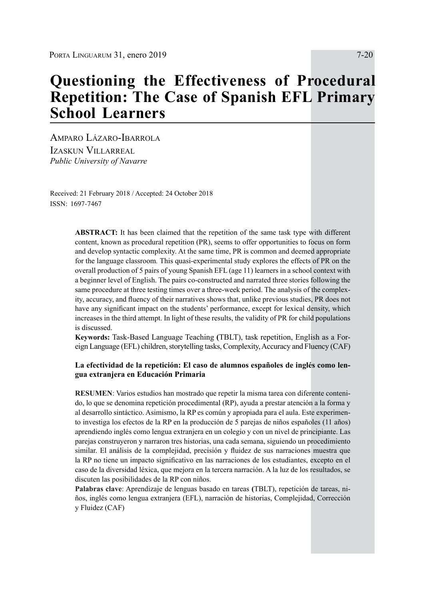# **Questioning the Effectiveness of Procedural Repetition: The Case of Spanish EFL Primary School Learners**

Amparo Lázaro-Ibarrola Izaskun Villarreal *Public University of Navarre*

Received: 21 February 2018 / Accepted: 24 October 2018 ISSN: 1697-7467

> **ABSTRACT:** It has been claimed that the repetition of the same task type with different content, known as procedural repetition (PR), seems to offer opportunities to focus on form and develop syntactic complexity. At the same time, PR is common and deemed appropriate for the language classroom*.* This quasi-experimental study explores the effects of PR on the overall production of 5 pairs of young Spanish EFL (age 11) learners in a school context with a beginner level of English. The pairs co-constructed and narrated three stories following the same procedure at three testing times over a three-week period. The analysis of the complexity, accuracy, and fluency of their narratives shows that, unlike previous studies, PR does not have any significant impact on the students' performance, except for lexical density, which increases in the third attempt. In light of these results, the validity of PR for child populations is discussed.

> **Keywords:** Task-Based Language Teaching **(**TBLT), task repetition, English as a Foreign Language (EFL) children, storytelling tasks, Complexity, Accuracy and Fluency (CAF)

#### **La efectividad de la repetición: El caso de alumnos españoles de inglés como lengua extranjera en Educación Primaria**

**RESUMEN**: Varios estudios han mostrado que repetir la misma tarea con diferente contenido, lo que se denomina repetición procedimental (RP), ayuda a prestar atención a la forma y al desarrollo sintáctico. Asimismo, la RP es común y apropiada para el aula. Este experimento investiga los efectos de la RP en la producción de 5 parejas de niños españoles (11 años) aprendiendo inglés como lengua extranjera en un colegio y con un nivel de principiante. Las parejas construyeron y narraron tres historias, una cada semana, siguiendo un procedimiento similar. El análisis de la complejidad, precisión y fluidez de sus narraciones muestra que la RP no tiene un impacto significativo en las narraciones de los estudiantes, excepto en el caso de la diversidad léxica, que mejora en la tercera narración. A la luz de los resultados, se discuten las posibilidades de la RP con niños.

**Palabras clave**: Aprendizaje de lenguas basado en tareas **(**TBLT), repetición de tareas, niños, inglés como lengua extranjera (EFL), narración de historias, Complejidad, Corrección y Fluidez (CAF)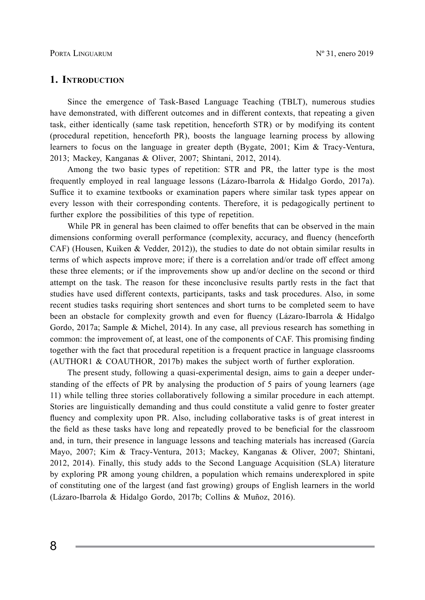## **1. Introduction**

Since the emergence of Task-Based Language Teaching (TBLT), numerous studies have demonstrated, with different outcomes and in different contexts, that repeating a given task, either identically (same task repetition, henceforth STR) or by modifying its content (procedural repetition, henceforth PR), boosts the language learning process by allowing learners to focus on the language in greater depth (Bygate, 2001; Kim & Tracy-Ventura, 2013; Mackey, Kanganas & Oliver, 2007; Shintani, 2012, 2014).

Among the two basic types of repetition: STR and PR, the latter type is the most frequently employed in real language lessons (Lázaro-Ibarrola & Hidalgo Gordo, 2017a). Suffice it to examine textbooks or examination papers where similar task types appear on every lesson with their corresponding contents. Therefore, it is pedagogically pertinent to further explore the possibilities of this type of repetition.

While PR in general has been claimed to offer benefits that can be observed in the main dimensions conforming overall performance (complexity, accuracy, and fluency (henceforth CAF) (Housen, Kuiken & Vedder, 2012)), the studies to date do not obtain similar results in terms of which aspects improve more; if there is a correlation and/or trade off effect among these three elements; or if the improvements show up and/or decline on the second or third attempt on the task. The reason for these inconclusive results partly rests in the fact that studies have used different contexts, participants, tasks and task procedures. Also, in some recent studies tasks requiring short sentences and short turns to be completed seem to have been an obstacle for complexity growth and even for fluency (Lázaro-Ibarrola & Hidalgo Gordo, 2017a; Sample & Michel, 2014). In any case, all previous research has something in common: the improvement of, at least, one of the components of CAF. This promising finding together with the fact that procedural repetition is a frequent practice in language classrooms (AUTHOR1 & COAUTHOR, 2017b) makes the subject worth of further exploration.

The present study, following a quasi-experimental design, aims to gain a deeper understanding of the effects of PR by analysing the production of 5 pairs of young learners (age 11) while telling three stories collaboratively following a similar procedure in each attempt. Stories are linguistically demanding and thus could constitute a valid genre to foster greater fluency and complexity upon PR. Also, including collaborative tasks is of great interest in the field as these tasks have long and repeatedly proved to be beneficial for the classroom and, in turn, their presence in language lessons and teaching materials has increased (García Mayo, 2007; Kim & Tracy-Ventura, 2013; Mackey, Kanganas & Oliver, 2007; Shintani, 2012, 2014). Finally, this study adds to the Second Language Acquisition (SLA) literature by exploring PR among young children, a population which remains underexplored in spite of constituting one of the largest (and fast growing) groups of English learners in the world (Lázaro-Ibarrola & Hidalgo Gordo, 2017b; Collins & Muñoz, 2016).

8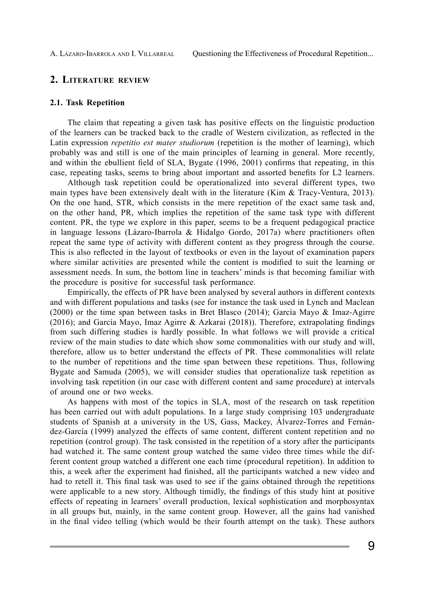# **2. Literature review**

#### **2.1. Task Repetition**

The claim that repeating a given task has positive effects on the linguistic production of the learners can be tracked back to the cradle of Western civilization, as reflected in the Latin expression *repetitio est mater studiorum* (repetition is the mother of learning), which probably was and still is one of the main principles of learning in general. More recently, and within the ebullient field of SLA, Bygate (1996, 2001) confirms that repeating, in this case, repeating tasks, seems to bring about important and assorted benefits for L2 learners.

Although task repetition could be operationalized into several different types, two main types have been extensively dealt with in the literature (Kim  $\&$  Tracy-Ventura, 2013). On the one hand, STR, which consists in the mere repetition of the exact same task and, on the other hand, PR, which implies the repetition of the same task type with different content. PR, the type we explore in this paper, seems to be a frequent pedagogical practice in language lessons (Lázaro-Ibarrola & Hidalgo Gordo, 2017a) where practitioners often repeat the same type of activity with different content as they progress through the course. This is also reflected in the layout of textbooks or even in the layout of examination papers where similar activities are presented while the content is modified to suit the learning or assessment needs. In sum, the bottom line in teachers' minds is that becoming familiar with the procedure is positive for successful task performance.

Empirically, the effects of PR have been analysed by several authors in different contexts and with different populations and tasks (see for instance the task used in Lynch and Maclean (2000) or the time span between tasks in Bret Blasco (2014); García Mayo & Imaz-Agirre (2016); and García Mayo, Imaz Agirre & Azkarai (2018)). Therefore, extrapolating findings from such differing studies is hardly possible. In what follows we will provide a critical review of the main studies to date which show some commonalities with our study and will, therefore, allow us to better understand the effects of PR. These commonalities will relate to the number of repetitions and the time span between these repetitions. Thus, following Bygate and Samuda (2005), we will consider studies that operationalize task repetition as involving task repetition (in our case with different content and same procedure) at intervals of around one or two weeks.

As happens with most of the topics in SLA, most of the research on task repetition has been carried out with adult populations. In a large study comprising 103 undergraduate students of Spanish at a university in the US, Gass, Mackey, Álvarez-Torres and Fernández-García (1999) analyzed the effects of same content, different content repetition and no repetition (control group). The task consisted in the repetition of a story after the participants had watched it. The same content group watched the same video three times while the different content group watched a different one each time (procedural repetition). In addition to this, a week after the experiment had finished, all the participants watched a new video and had to retell it. This final task was used to see if the gains obtained through the repetitions were applicable to a new story. Although timidly, the findings of this study hint at positive effects of repeating in learners' overall production, lexical sophistication and morphosyntax in all groups but, mainly, in the same content group. However, all the gains had vanished in the final video telling (which would be their fourth attempt on the task). These authors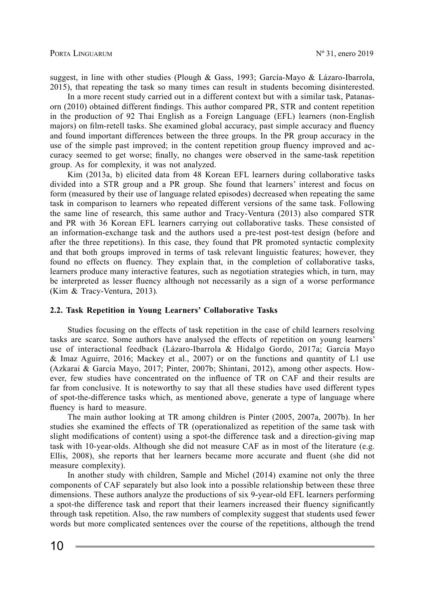suggest, in line with other studies (Plough & Gass, 1993; García-Mayo & Lázaro-Ibarrola, 2015), that repeating the task so many times can result in students becoming disinterested.

In a more recent study carried out in a different context but with a similar task, Patanasorn (2010) obtained different findings. This author compared PR, STR and content repetition in the production of 92 Thai English as a Foreign Language (EFL) learners (non-English majors) on film-retell tasks. She examined global accuracy, past simple accuracy and fluency and found important differences between the three groups. In the PR group accuracy in the use of the simple past improved; in the content repetition group fluency improved and accuracy seemed to get worse; finally, no changes were observed in the same-task repetition group. As for complexity, it was not analyzed.

Kim (2013a, b) elicited data from 48 Korean EFL learners during collaborative tasks divided into a STR group and a PR group. She found that learners' interest and focus on form (measured by their use of language related episodes) decreased when repeating the same task in comparison to learners who repeated different versions of the same task. Following the same line of research, this same author and Tracy-Ventura (2013) also compared STR and PR with 36 Korean EFL learners carrying out collaborative tasks. These consisted of an information-exchange task and the authors used a pre-test post-test design (before and after the three repetitions). In this case, they found that PR promoted syntactic complexity and that both groups improved in terms of task relevant linguistic features; however, they found no effects on fluency. They explain that, in the completion of collaborative tasks, learners produce many interactive features, such as negotiation strategies which, in turn, may be interpreted as lesser fluency although not necessarily as a sign of a worse performance (Kim & Tracy-Ventura, 2013)*.* 

#### **2.2. Task Repetition in Young Learners' Collaborative Tasks**

Studies focusing on the effects of task repetition in the case of child learners resolving tasks are scarce. Some authors have analysed the effects of repetition on young learners' use of interactional feedback (Lázaro-Ibarrola & Hidalgo Gordo, 2017a; García Mayo & Imaz Aguirre, 2016; Mackey et al., 2007) or on the functions and quantity of L1 use (Azkarai & García Mayo, 2017; Pinter, 2007b; Shintani, 2012), among other aspects. However, few studies have concentrated on the influence of TR on CAF and their results are far from conclusive. It is noteworthy to say that all these studies have used different types of spot-the-difference tasks which, as mentioned above, generate a type of language where fluency is hard to measure.

The main author looking at TR among children is Pinter (2005, 2007a, 2007b). In her studies she examined the effects of TR (operationalized as repetition of the same task with slight modifications of content) using a spot-the difference task and a direction-giving map task with 10-year-olds. Although she did not measure CAF as in most of the literature (e.g. Ellis, 2008), she reports that her learners became more accurate and fluent (she did not measure complexity).

In another study with children, Sample and Michel (2014) examine not only the three components of CAF separately but also look into a possible relationship between these three dimensions. These authors analyze the productions of six 9-year-old EFL learners performing a spot-the difference task and report that their learners increased their fluency significantly through task repetition. Also, the raw numbers of complexity suggest that students used fewer words but more complicated sentences over the course of the repetitions, although the trend

10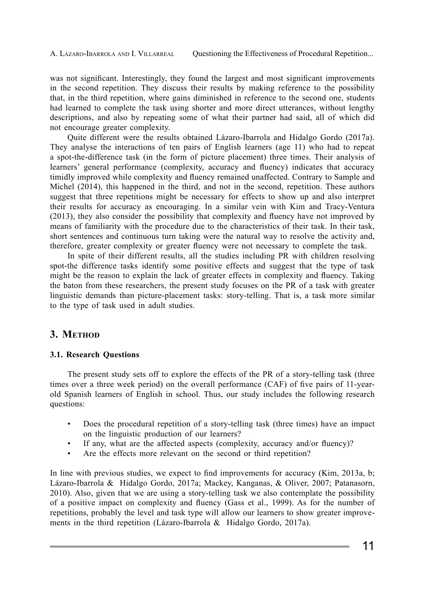was not significant. Interestingly, they found the largest and most significant improvements in the second repetition. They discuss their results by making reference to the possibility that, in the third repetition, where gains diminished in reference to the second one, students had learned to complete the task using shorter and more direct utterances, without lengthy descriptions, and also by repeating some of what their partner had said, all of which did not encourage greater complexity.

Quite different were the results obtained Lázaro-Ibarrola and Hidalgo Gordo (2017a). They analyse the interactions of ten pairs of English learners (age 11) who had to repeat a spot-the-difference task (in the form of picture placement) three times. Their analysis of learners' general performance (complexity, accuracy and fluency) indicates that accuracy timidly improved while complexity and fluency remained unaffected. Contrary to Sample and Michel (2014), this happened in the third, and not in the second, repetition. These authors suggest that three repetitions might be necessary for effects to show up and also interpret their results for accuracy as encouraging. In a similar vein with Kim and Tracy-Ventura (2013), they also consider the possibility that complexity and fluency have not improved by means of familiarity with the procedure due to the characteristics of their task. In their task, short sentences and continuous turn taking were the natural way to resolve the activity and, therefore, greater complexity or greater fluency were not necessary to complete the task.

In spite of their different results, all the studies including PR with children resolving spot-the difference tasks identify some positive effects and suggest that the type of task might be the reason to explain the lack of greater effects in complexity and fluency. Taking the baton from these researchers, the present study focuses on the PR of a task with greater linguistic demands than picture-placement tasks: story-telling. That is, a task more similar to the type of task used in adult studies.

# 3. METHOD

# **3.1. Research Questions**

The present study sets off to explore the effects of the PR of a story-telling task (three times over a three week period) on the overall performance (CAF) of five pairs of 11-yearold Spanish learners of English in school. Thus, our study includes the following research questions:

- Does the procedural repetition of a story-telling task (three times) have an impact on the linguistic production of our learners?
- If any, what are the affected aspects (complexity, accuracy and/or fluency)?
- Are the effects more relevant on the second or third repetition?

In line with previous studies, we expect to find improvements for accuracy (Kim, 2013a, b; Lázaro-Ibarrola & Hidalgo Gordo, 2017a; Mackey, Kanganas, & Oliver, 2007; Patanasorn, 2010). Also, given that we are using a story-telling task we also contemplate the possibility of a positive impact on complexity and fluency (Gass et al., 1999). As for the number of repetitions, probably the level and task type will allow our learners to show greater improvements in the third repetition (Lázaro-Ibarrola & Hidalgo Gordo, 2017a).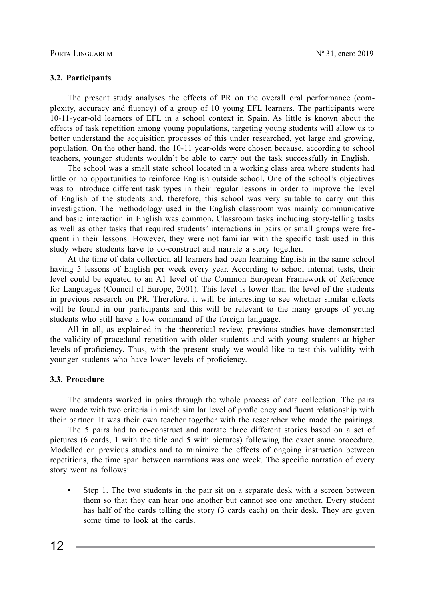#### **3.2. Participants**

The present study analyses the effects of PR on the overall oral performance (complexity, accuracy and fluency) of a group of 10 young EFL learners. The participants were 10-11-year-old learners of EFL in a school context in Spain. As little is known about the effects of task repetition among young populations, targeting young students will allow us to better understand the acquisition processes of this under researched, yet large and growing, population. On the other hand, the 10-11 year-olds were chosen because, according to school teachers, younger students wouldn't be able to carry out the task successfully in English.

The school was a small state school located in a working class area where students had little or no opportunities to reinforce English outside school. One of the school's objectives was to introduce different task types in their regular lessons in order to improve the level of English of the students and, therefore, this school was very suitable to carry out this investigation. The methodology used in the English classroom was mainly communicative and basic interaction in English was common. Classroom tasks including story-telling tasks as well as other tasks that required students' interactions in pairs or small groups were frequent in their lessons. However, they were not familiar with the specific task used in this study where students have to co-construct and narrate a story together.

At the time of data collection all learners had been learning English in the same school having 5 lessons of English per week every year. According to school internal tests, their level could be equated to an A1 level of the Common European Framework of Reference for Languages (Council of Europe, 2001). This level is lower than the level of the students in previous research on PR. Therefore, it will be interesting to see whether similar effects will be found in our participants and this will be relevant to the many groups of young students who still have a low command of the foreign language.

All in all, as explained in the theoretical review, previous studies have demonstrated the validity of procedural repetition with older students and with young students at higher levels of proficiency. Thus, with the present study we would like to test this validity with younger students who have lower levels of proficiency.

#### **3.3. Procedure**

The students worked in pairs through the whole process of data collection. The pairs were made with two criteria in mind: similar level of proficiency and fluent relationship with their partner. It was their own teacher together with the researcher who made the pairings.

The 5 pairs had to co-construct and narrate three different stories based on a set of pictures (6 cards, 1 with the title and 5 with pictures) following the exact same procedure. Modelled on previous studies and to minimize the effects of ongoing instruction between repetitions, the time span between narrations was one week. The specific narration of every story went as follows:

Step 1. The two students in the pair sit on a separate desk with a screen between them so that they can hear one another but cannot see one another. Every student has half of the cards telling the story (3 cards each) on their desk. They are given some time to look at the cards.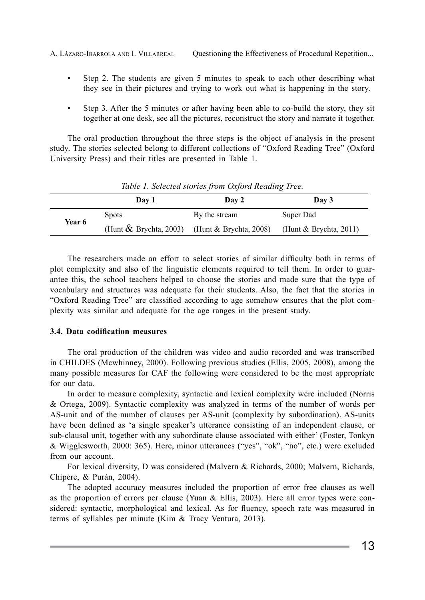A. LÁZARO-IBARROLA AND I. VILLARREAL Questioning the Effectiveness of Procedural Repetition...

- Step 2. The students are given 5 minutes to speak to each other describing what they see in their pictures and trying to work out what is happening in the story.
- Step 3. After the 5 minutes or after having been able to co-build the story, they sit together at one desk, see all the pictures, reconstruct the story and narrate it together.

The oral production throughout the three steps is the object of analysis in the present study. The stories selected belong to different collections of "Oxford Reading Tree" (Oxford University Press) and their titles are presented in Table 1.

| Table 1. Selected stortes from Oxford Redding Tree. |                                                     |               |                        |  |  |
|-----------------------------------------------------|-----------------------------------------------------|---------------|------------------------|--|--|
|                                                     | Day 1                                               | Day 2         | Day 3                  |  |  |
| <b>Year 6</b>                                       | <b>Spots</b>                                        | By the stream | Super Dad              |  |  |
|                                                     | (Hunt $\&$ Brychta, 2003) (Hunt $\&$ Brychta, 2008) |               | (Hunt & Brychta, 2011) |  |  |

*Table 1. Selected stories from Oxford Reading Tree.*

The researchers made an effort to select stories of similar difficulty both in terms of plot complexity and also of the linguistic elements required to tell them. In order to guarantee this, the school teachers helped to choose the stories and made sure that the type of vocabulary and structures was adequate for their students. Also, the fact that the stories in "Oxford Reading Tree" are classified according to age somehow ensures that the plot complexity was similar and adequate for the age ranges in the present study.

#### **3.4. Data codification measures**

The oral production of the children was video and audio recorded and was transcribed in CHILDES (Mcwhinney, 2000). Following previous studies (Ellis, 2005, 2008), among the many possible measures for CAF the following were considered to be the most appropriate for our data.

In order to measure complexity, syntactic and lexical complexity were included (Norris & Ortega, 2009). Syntactic complexity was analyzed in terms of the number of words per AS-unit and of the number of clauses per AS-unit (complexity by subordination). AS-units have been defined as 'a single speaker's utterance consisting of an independent clause, or sub-clausal unit, together with any subordinate clause associated with either' (Foster, Tonkyn & Wigglesworth, 2000: 365). Here, minor utterances ("yes", "ok", "no", etc.) were excluded from our account.

For lexical diversity, D was considered (Malvern & Richards, 2000; Malvern, Richards, Chipere, & Purán, 2004).

The adopted accuracy measures included the proportion of error free clauses as well as the proportion of errors per clause (Yuan & Ellis, 2003). Here all error types were considered: syntactic, morphological and lexical. As for fluency, speech rate was measured in terms of syllables per minute (Kim & Tracy Ventura, 2013).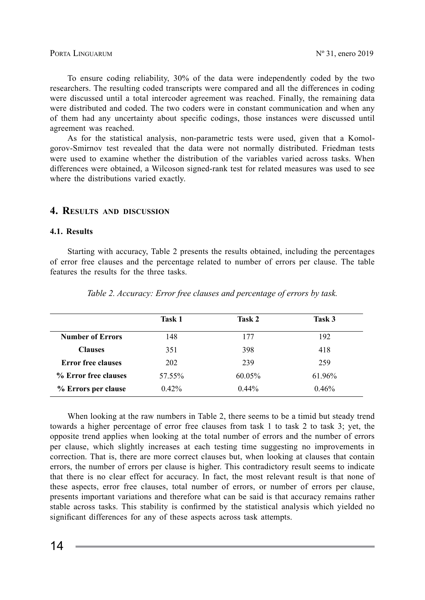#### PORTA LINGUARUM  $N^{\circ}$  31, enero 2019

To ensure coding reliability, 30% of the data were independently coded by the two researchers. The resulting coded transcripts were compared and all the differences in coding were discussed until a total intercoder agreement was reached. Finally, the remaining data were distributed and coded. The two coders were in constant communication and when any of them had any uncertainty about specific codings, those instances were discussed until agreement was reached.

As for the statistical analysis, non-parametric tests were used, given that a Komolgorov-Smirnov test revealed that the data were not normally distributed. Friedman tests were used to examine whether the distribution of the variables varied across tasks. When differences were obtained, a Wilcoson signed-rank test for related measures was used to see where the distributions varied exactly.

## **4. Results and discussion**

#### **4.1. Results**

Starting with accuracy, Table 2 presents the results obtained, including the percentages of error free clauses and the percentage related to number of errors per clause. The table features the results for the three tasks.

|                           | Task 1   | Task 2   | Task 3 |
|---------------------------|----------|----------|--------|
| <b>Number of Errors</b>   | 148      | 177      | 192    |
| <b>Clauses</b>            | 351      | 398      | 418    |
| <b>Error free clauses</b> | 202      | 239      | 259    |
| % Error free clauses      | 57.55%   | 60.05%   | 61.96% |
| % Errors per clause       | $0.42\%$ | $0.44\%$ | 0.46%  |

*Table 2. Accuracy: Error free clauses and percentage of errors by task.*

When looking at the raw numbers in Table 2, there seems to be a timid but steady trend towards a higher percentage of error free clauses from task 1 to task 2 to task 3; yet, the opposite trend applies when looking at the total number of errors and the number of errors per clause, which slightly increases at each testing time suggesting no improvements in correction. That is, there are more correct clauses but, when looking at clauses that contain errors, the number of errors per clause is higher. This contradictory result seems to indicate that there is no clear effect for accuracy. In fact, the most relevant result is that none of these aspects, error free clauses, total number of errors, or number of errors per clause, presents important variations and therefore what can be said is that accuracy remains rather stable across tasks. This stability is confirmed by the statistical analysis which yielded no significant differences for any of these aspects across task attempts.

14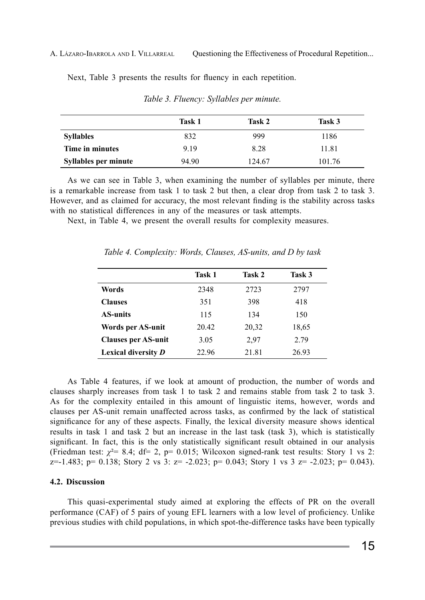#### A. LÁZARO-IBARROLA AND I. VILLARREAL Questioning the Effectiveness of Procedural Repetition...

Next, Table 3 presents the results for fluency in each repetition.

|                      | Task 1 | Task 2 | Task 3 |
|----------------------|--------|--------|--------|
| <b>Syllables</b>     | 832    | 999    | 1186   |
| Time in minutes      | 9.19   | 8.28   | 11.81  |
| Syllables per minute | 94.90  | 124.67 | 101.76 |

*Table 3. Fluency: Syllables per minute.* 

As we can see in Table 3, when examining the number of syllables per minute, there is a remarkable increase from task 1 to task 2 but then, a clear drop from task 2 to task 3. However, and as claimed for accuracy, the most relevant finding is the stability across tasks with no statistical differences in any of the measures or task attempts.

Next, in Table 4, we present the overall results for complexity measures.

|                            | Task 1 | Task 2 | Task 3 |
|----------------------------|--------|--------|--------|
| Words                      | 2348   | 2723   | 2797   |
| <b>Clauses</b>             | 351    | 398    | 418    |
| <b>AS-units</b>            | 115    | 134    | 150    |
| Words per AS-unit          | 20.42  | 20,32  | 18,65  |
| <b>Clauses per AS-unit</b> | 3.05   | 2.97   | 2.79   |
| Lexical diversity D        | 22.96  | 21.81  | 26.93  |

*Table 4. Complexity: Words, Clauses, AS-units, and D by task*

As Table 4 features, if we look at amount of production, the number of words and clauses sharply increases from task 1 to task 2 and remains stable from task 2 to task 3. As for the complexity entailed in this amount of linguistic items, however, words and clauses per AS-unit remain unaffected across tasks, as confirmed by the lack of statistical significance for any of these aspects. Finally, the lexical diversity measure shows identical results in task 1 and task 2 but an increase in the last task (task 3), which is statistically significant. In fact, this is the only statistically significant result obtained in our analysis (Friedman test:  $\chi^2$  = 8.4; df = 2, p = 0.015; Wilcoxon signed-rank test results: Story 1 vs 2:  $z=-1.483$ ;  $p= 0.138$ ; Story 2 vs 3:  $z=-2.023$ ;  $p= 0.043$ ; Story 1 vs 3  $z=-2.023$ ;  $p= 0.043$ ).

#### **4.2. Discussion**

This quasi-experimental study aimed at exploring the effects of PR on the overall performance (CAF) of 5 pairs of young EFL learners with a low level of proficiency. Unlike previous studies with child populations, in which spot-the-difference tasks have been typically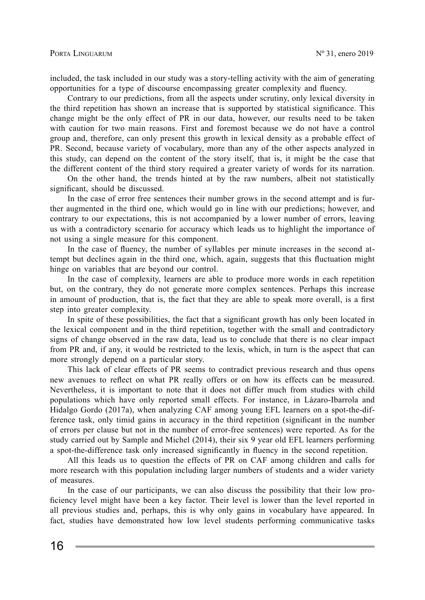included, the task included in our study was a story-telling activity with the aim of generating opportunities for a type of discourse encompassing greater complexity and fluency.

Contrary to our predictions, from all the aspects under scrutiny, only lexical diversity in the third repetition has shown an increase that is supported by statistical significance. This change might be the only effect of PR in our data, however, our results need to be taken with caution for two main reasons. First and foremost because we do not have a control group and, therefore, can only present this growth in lexical density as a probable effect of PR. Second, because variety of vocabulary, more than any of the other aspects analyzed in this study, can depend on the content of the story itself, that is, it might be the case that the different content of the third story required a greater variety of words for its narration.

On the other hand, the trends hinted at by the raw numbers, albeit not statistically significant, should be discussed.

In the case of error free sentences their number grows in the second attempt and is further augmented in the third one, which would go in line with our predictions; however, and contrary to our expectations, this is not accompanied by a lower number of errors, leaving us with a contradictory scenario for accuracy which leads us to highlight the importance of not using a single measure for this component.

In the case of fluency, the number of syllables per minute increases in the second attempt but declines again in the third one, which, again, suggests that this fluctuation might hinge on variables that are beyond our control.

In the case of complexity, learners are able to produce more words in each repetition but, on the contrary, they do not generate more complex sentences. Perhaps this increase in amount of production, that is, the fact that they are able to speak more overall, is a first step into greater complexity.

In spite of these possibilities, the fact that a significant growth has only been located in the lexical component and in the third repetition, together with the small and contradictory signs of change observed in the raw data, lead us to conclude that there is no clear impact from PR and, if any, it would be restricted to the lexis, which, in turn is the aspect that can more strongly depend on a particular story.

This lack of clear effects of PR seems to contradict previous research and thus opens new avenues to reflect on what PR really offers or on how its effects can be measured. Nevertheless, it is important to note that it does not differ much from studies with child populations which have only reported small effects. For instance, in Lázaro-Ibarrola and Hidalgo Gordo (2017a), when analyzing CAF among young EFL learners on a spot-the-difference task, only timid gains in accuracy in the third repetition (significant in the number of errors per clause but not in the number of error-free sentences) were reported. As for the study carried out by Sample and Michel (2014), their six 9 year old EFL learners performing a spot-the-difference task only increased significantly in fluency in the second repetition.

All this leads us to question the effects of PR on CAF among children and calls for more research with this population including larger numbers of students and a wider variety of measures.

In the case of our participants, we can also discuss the possibility that their low proficiency level might have been a key factor. Their level is lower than the level reported in all previous studies and, perhaps, this is why only gains in vocabulary have appeared. In fact, studies have demonstrated how low level students performing communicative tasks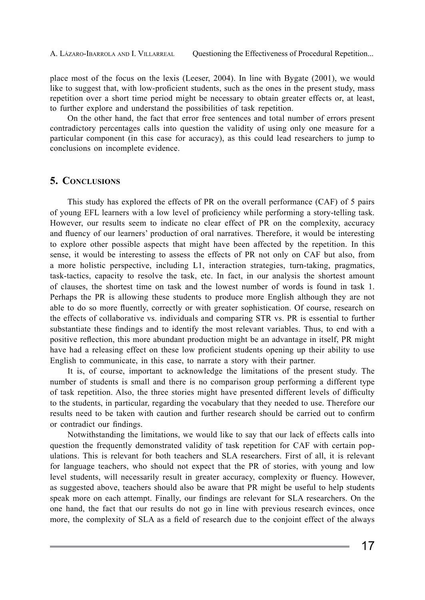place most of the focus on the lexis (Leeser, 2004). In line with Bygate (2001), we would like to suggest that, with low-proficient students, such as the ones in the present study, mass repetition over a short time period might be necessary to obtain greater effects or, at least, to further explore and understand the possibilities of task repetition.

On the other hand, the fact that error free sentences and total number of errors present contradictory percentages calls into question the validity of using only one measure for a particular component (in this case for accuracy), as this could lead researchers to jump to conclusions on incomplete evidence.

### **5. Conclusions**

This study has explored the effects of PR on the overall performance (CAF) of 5 pairs of young EFL learners with a low level of proficiency while performing a story-telling task. However, our results seem to indicate no clear effect of PR on the complexity, accuracy and fluency of our learners' production of oral narratives. Therefore, it would be interesting to explore other possible aspects that might have been affected by the repetition. In this sense, it would be interesting to assess the effects of PR not only on CAF but also, from a more holistic perspective, including L1, interaction strategies, turn-taking, pragmatics, task-tactics, capacity to resolve the task, etc. In fact, in our analysis the shortest amount of clauses, the shortest time on task and the lowest number of words is found in task 1. Perhaps the PR is allowing these students to produce more English although they are not able to do so more fluently, correctly or with greater sophistication. Of course, research on the effects of collaborative vs. individuals and comparing STR vs. PR is essential to further substantiate these findings and to identify the most relevant variables. Thus, to end with a positive reflection, this more abundant production might be an advantage in itself, PR might have had a releasing effect on these low proficient students opening up their ability to use English to communicate, in this case, to narrate a story with their partner.

It is, of course, important to acknowledge the limitations of the present study. The number of students is small and there is no comparison group performing a different type of task repetition. Also, the three stories might have presented different levels of difficulty to the students, in particular, regarding the vocabulary that they needed to use. Therefore our results need to be taken with caution and further research should be carried out to confirm or contradict our findings.

Notwithstanding the limitations, we would like to say that our lack of effects calls into question the frequently demonstrated validity of task repetition for CAF with certain populations. This is relevant for both teachers and SLA researchers. First of all, it is relevant for language teachers, who should not expect that the PR of stories, with young and low level students, will necessarily result in greater accuracy, complexity or fluency. However, as suggested above, teachers should also be aware that PR might be useful to help students speak more on each attempt. Finally, our findings are relevant for SLA researchers. On the one hand, the fact that our results do not go in line with previous research evinces, once more, the complexity of SLA as a field of research due to the conjoint effect of the always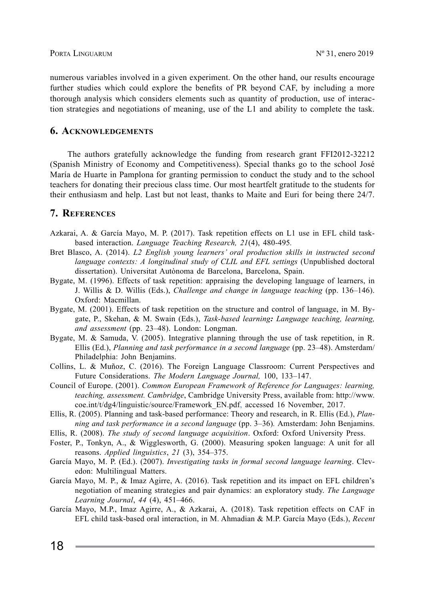numerous variables involved in a given experiment. On the other hand, our results encourage further studies which could explore the benefits of PR beyond CAF, by including a more thorough analysis which considers elements such as quantity of production, use of interaction strategies and negotiations of meaning, use of the L1 and ability to complete the task.

# **6. Acknowledgements**

The authors gratefully acknowledge the funding from research grant FFI2012-32212 (Spanish Ministry of Economy and Competitiveness). Special thanks go to the school José María de Huarte in Pamplona for granting permission to conduct the study and to the school teachers for donating their precious class time. Our most heartfelt gratitude to the students for their enthusiasm and help. Last but not least, thanks to Maite and Euri for being there 24/7.

# **7. References**

- Azkarai, A. & García Mayo, M. P. (2017). Task repetition effects on L1 use in EFL child taskbased interaction. *Language Teaching Research, 21*(4), 480-495*.*
- Bret Blasco, A. (2014). *L2 English young learners' oral production skills in instructed second language contexts: A longitudinal study of CLIL and EFL settings* (Unpublished doctoral dissertation). Universitat Autònoma de Barcelona, Barcelona, Spain.
- Bygate, M. (1996). Effects of task repetition: appraising the developing language of learners, in J. Willis & D. Willis (Eds.), *Challenge and change in language teaching* (pp. 136–146). Oxford: Macmillan.
- Bygate, M. (2001). Effects of task repetition on the structure and control of language, in M. Bygate, P., Skehan, & M. Swain (Eds.), *Task-based learning: Language teaching, learning, and assessment* (pp. 23–48). London: Longman.
- Bygate, M. & Samuda, V. (2005). Integrative planning through the use of task repetition, in R. Ellis (Ed.), *Planning and task performance in a second language* (pp. 23–48). Amsterdam/ Philadelphia: John Benjamins.
- Collins, L. & Muñoz, C. (2016). The Foreign Language Classroom: Current Perspectives and Future Considerations. *The Modern Language Journal,* 100, 133–147.
- Council of Europe. (2001). *Common European Framework of Reference for Languages: learning, teaching, assessment. Cambridge*, Cambridge University Press, available from: http://www. coe.int/t/dg4/linguistic/source/Framework\_EN.pdf, accessed 16 November, 2017.
- Ellis, R. (2005). Planning and task-based performance: Theory and research, in R. Ellis (Ed.), *Planning and task performance in a second language* (pp. 3–36)*.* Amsterdam: John Benjamins.
- Ellis, R. (2008). *The study of second language acquisition*. Oxford: Oxford University Press.
- Foster, P., Tonkyn, A., & Wigglesworth, G. (2000). Measuring spoken language: A unit for all reasons. *Applied linguistics*, *21* (3), 354–375.
- García Mayo, M. P. (Ed.). (2007). *Investigating tasks in formal second language learning*. Clevedon: Multilingual Matters.
- García Mayo, M. P., & Imaz Agirre, A. (2016). Task repetition and its impact on EFL children's negotiation of meaning strategies and pair dynamics: an exploratory study. *The Language Learning Journal*, *44* (4), 451–466.
- García Mayo, M.P., Imaz Agirre, A., & Azkarai, A. (2018). Task repetition effects on CAF in EFL child task-based oral interaction, in M. Ahmadian & M.P. García Mayo (Eds.), *Recent*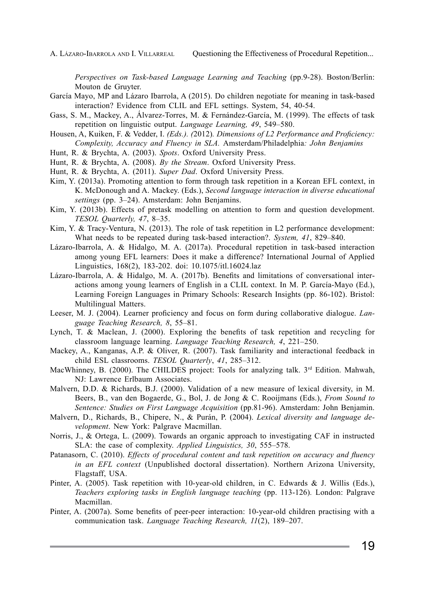A. LÁZARO-IBARROLA AND I. VILLARREAL Questioning the Effectiveness of Procedural Repetition...

*Perspectives on Task-based Language Learning and Teaching* (pp.9-28). Boston/Berlin: Mouton de Gruyter.

- García Mayo, MP and Lázaro Ibarrola, A (2015). Do children negotiate for meaning in task-based interaction? Evidence from CLIL and EFL settings. System, 54, 40-54.
- Gass, S. M., Mackey, A., Álvarez-Torres, M. & Fernández-García, M. (1999). The effects of task repetition on linguistic output. *Language Learning, 49*, 549–580.
- Housen, A, Kuiken, F. & Vedder, I. *(Eds.). (*2012)*. Dimensions of L2 Performance and Proficiency: Complexity, Accuracy and Fluency in SLA.* Amsterdam/Philadelphia*: John Benjamins*
- Hunt, R. & Brychta, A. (2003). *Spots*. Oxford University Press.
- Hunt, R. & Brychta, A. (2008). *By the Stream*. Oxford University Press.
- Hunt, R. & Brychta, A. (2011). *Super Dad*. Oxford University Press.
- Kim, Y. (2013a). Promoting attention to form through task repetition in a Korean EFL context, in K. McDonough and A. Mackey. (Eds.), *Second language interaction in diverse educational settings* (pp. 3–24). Amsterdam: John Benjamins.
- Kim, Y. (2013b). Effects of pretask modelling on attention to form and question development. *TESOL Quarterly, 47*, 8–35.
- Kim, Y. & Tracy-Ventura, N. (2013). The role of task repetition in L2 performance development: What needs to be repeated during task-based interaction?. *System, 41*, 829–840.
- Lázaro-Ibarrola, A. & Hidalgo, M. A. (2017a). Procedural repetition in task-based interaction among young EFL learners: Does it make a difference? International Journal of Applied Linguistics, 168(2), 183-202. doi: 10.1075/itl.16024.laz
- Lázaro-Ibarrola, A. & Hidalgo, M. A. (2017b). Benefits and limitations of conversational interactions among young learners of English in a CLIL context. In M. P. García-Mayo (Ed.), Learning Foreign Languages in Primary Schools: Research Insights (pp. 86-102). Bristol: Multilingual Matters.
- Leeser, M. J. (2004). Learner proficiency and focus on form during collaborative dialogue. *Language Teaching Research, 8*, 55–81.
- Lynch, T. & Maclean, J. (2000). Exploring the benefits of task repetition and recycling for classroom language learning. *Language Teaching Research, 4*, 221–250.
- Mackey, A., Kanganas, A.P. & Oliver, R. (2007). Task familiarity and interactional feedback in child ESL classrooms. *TESOL Quarterly*, *41*, 285–312.
- MacWhinney, B. (2000). The CHILDES project: Tools for analyzing talk. 3<sup>rd</sup> Edition. Mahwah, NJ: Lawrence Erlbaum Associates.
- Malvern, D.D. & Richards, B.J. (2000). Validation of a new measure of lexical diversity, in M. Beers, B., van den Bogaerde, G., Bol, J. de Jong & C. Rooijmans (Eds.), *From Sound to Sentence: Studies on First Language Acquisition* (pp.81-96). Amsterdam: John Benjamin.
- Malvern, D., Richards, B., Chipere, N., & Purán, P. (2004). *Lexical diversity and language development*. New York: Palgrave Macmillan.
- Norris, J., & Ortega, L. (2009). Towards an organic approach to investigating CAF in instructed SLA: the case of complexity. *Applied Linguistics, 30*, 555–578.
- Patanasorn, C. (2010). *Effects of procedural content and task repetition on accuracy and fluency in an EFL context* (Unpublished doctoral dissertation). Northern Arizona University, Flagstaff, USA.
- Pinter, A. (2005). Task repetition with 10-year-old children, in C. Edwards & J. Willis (Eds.), *Teachers exploring tasks in English language teaching (pp. 113-126). London: Palgrave* Macmillan.
- Pinter, A. (2007a). Some benefits of peer-peer interaction: 10-year-old children practising with a communication task. *Language Teaching Research, 11*(2), 189–207.